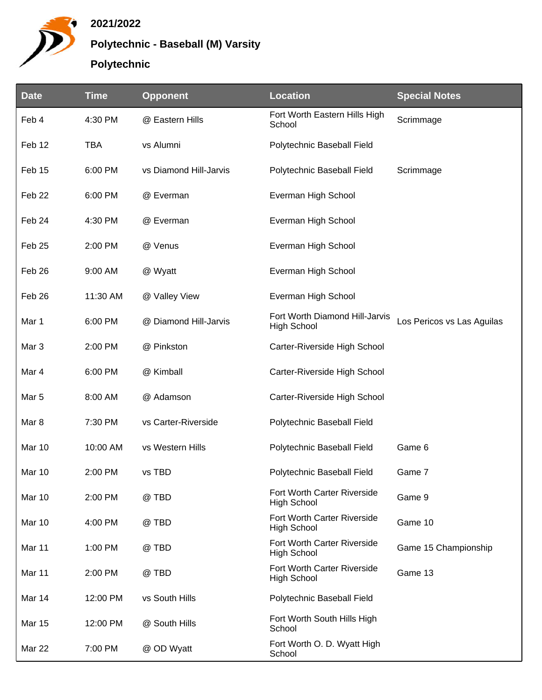

## **2021/2022**

**Polytechnic - Baseball (M) Varsity**

## **Polytechnic**

| <b>Date</b>       | <b>Time</b> | <b>Opponent</b>        | <b>Location</b>                                      | <b>Special Notes</b>       |
|-------------------|-------------|------------------------|------------------------------------------------------|----------------------------|
| Feb 4             | 4:30 PM     | @ Eastern Hills        | Fort Worth Eastern Hills High<br>School              | Scrimmage                  |
| Feb 12            | <b>TBA</b>  | vs Alumni              | Polytechnic Baseball Field                           |                            |
| Feb 15            | 6:00 PM     | vs Diamond Hill-Jarvis | Polytechnic Baseball Field                           | Scrimmage                  |
| Feb <sub>22</sub> | 6:00 PM     | @ Everman              | Everman High School                                  |                            |
| Feb 24            | 4:30 PM     | @ Everman              | Everman High School                                  |                            |
| Feb <sub>25</sub> | 2:00 PM     | @ Venus                | Everman High School                                  |                            |
| Feb 26            | 9:00 AM     | @ Wyatt                | Everman High School                                  |                            |
| Feb 26            | 11:30 AM    | @ Valley View          | Everman High School                                  |                            |
| Mar 1             | 6:00 PM     | @ Diamond Hill-Jarvis  | Fort Worth Diamond Hill-Jarvis<br><b>High School</b> | Los Pericos vs Las Aguilas |
| Mar <sub>3</sub>  | 2:00 PM     | @ Pinkston             | Carter-Riverside High School                         |                            |
| Mar 4             | 6:00 PM     | @ Kimball              | Carter-Riverside High School                         |                            |
| Mar 5             | 8:00 AM     | @ Adamson              | Carter-Riverside High School                         |                            |
| Mar 8             | 7:30 PM     | vs Carter-Riverside    | Polytechnic Baseball Field                           |                            |
| Mar 10            | 10:00 AM    | vs Western Hills       | Polytechnic Baseball Field                           | Game 6                     |
| Mar 10            | 2:00 PM     | vs TBD                 | Polytechnic Baseball Field                           | Game 7                     |
| Mar 10            | 2:00 PM     | @ TBD                  | Fort Worth Carter Riverside<br><b>High School</b>    | Game 9                     |
| Mar 10            | 4:00 PM     | @ TBD                  | Fort Worth Carter Riverside<br><b>High School</b>    | Game 10                    |
| Mar 11            | 1:00 PM     | @ TBD                  | Fort Worth Carter Riverside<br><b>High School</b>    | Game 15 Championship       |
| Mar 11            | 2:00 PM     | @ TBD                  | Fort Worth Carter Riverside<br>High School           | Game 13                    |
| Mar 14            | 12:00 PM    | vs South Hills         | Polytechnic Baseball Field                           |                            |
| <b>Mar 15</b>     | 12:00 PM    | @ South Hills          | Fort Worth South Hills High<br>School                |                            |
| <b>Mar 22</b>     | 7:00 PM     | @ OD Wyatt             | Fort Worth O. D. Wyatt High<br>School                |                            |